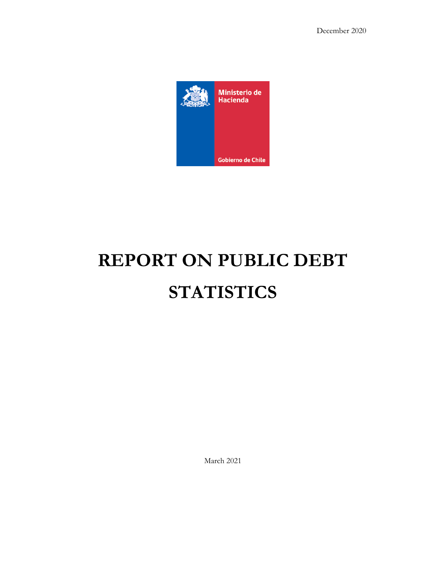

# **REPORT ON PUBLIC DEBT STATISTICS**

March 2021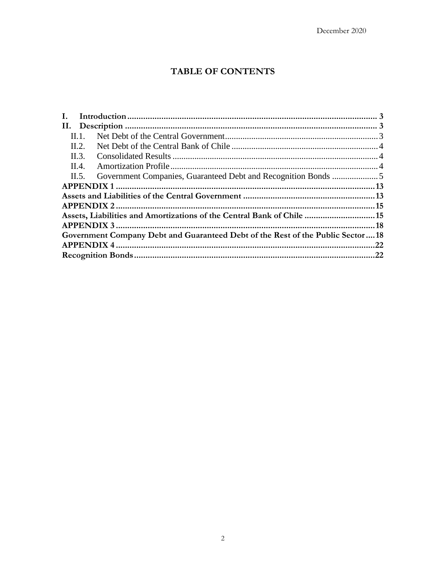# **TABLE OF CONTENTS**

| Assets, Liabilities and Amortizations of the Central Bank of Chile 15          |  |
|--------------------------------------------------------------------------------|--|
|                                                                                |  |
| Government Company Debt and Guaranteed Debt of the Rest of the Public Sector18 |  |
|                                                                                |  |
|                                                                                |  |
|                                                                                |  |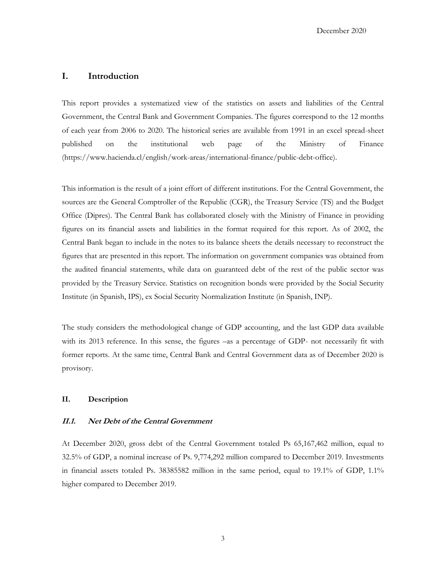## <span id="page-2-0"></span>**I. Introduction**

This report provides a systematized view of the statistics on assets and liabilities of the Central Government, the Central Bank and Government Companies. The figures correspond to the 12 months of each year from 2006 to 2020. The historical series are available from 1991 in an excel spread-sheet published on the institutional web page of the Ministry of Finance (https://www.hacienda.cl/english/work-areas/international-finance/public-debt-office).

This information is the result of a joint effort of different institutions. For the Central Government, the sources are the General Comptroller of the Republic (CGR), the Treasury Service (TS) and the Budget Office (Dipres). The Central Bank has collaborated closely with the Ministry of Finance in providing figures on its financial assets and liabilities in the format required for this report. As of 2002, the Central Bank began to include in the notes to its balance sheets the details necessary to reconstruct the figures that are presented in this report. The information on government companies was obtained from the audited financial statements, while data on guaranteed debt of the rest of the public sector was provided by the Treasury Service. Statistics on recognition bonds were provided by the Social Security Institute (in Spanish, IPS), ex Social Security Normalization Institute (in Spanish, INP).

The study considers the methodological change of GDP accounting, and the last GDP data available with its 2013 reference. In this sense, the figures –as a percentage of GDP- not necessarily fit with former reports. At the same time, Central Bank and Central Government data as of December 2020 is provisory.

## <span id="page-2-1"></span>**II. Description**

#### <span id="page-2-2"></span>**II.1. Net Debt of the Central Government**

At December 2020, gross debt of the Central Government totaled Ps 65,167,462 million, equal to 32.5% of GDP, a nominal increase of Ps. 9,774,292 million compared to December 2019. Investments in financial assets totaled Ps. 38385582 million in the same period, equal to 19.1% of GDP, 1.1% higher compared to December 2019.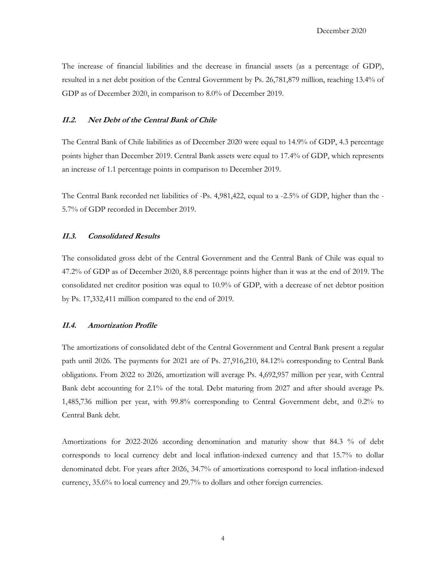The increase of financial liabilities and the decrease in financial assets (as a percentage of GDP), resulted in a net debt position of the Central Government by Ps. 26,781,879 million, reaching 13.4% of GDP as of December 2020, in comparison to 8.0% of December 2019.

## <span id="page-3-0"></span>**II.2. Net Debt of the Central Bank of Chile**

The Central Bank of Chile liabilities as of December 2020 were equal to 14.9% of GDP, 4.3 percentage points higher than December 2019. Central Bank assets were equal to 17.4% of GDP, which represents an increase of 1.1 percentage points in comparison to December 2019.

The Central Bank recorded net liabilities of -Ps. 4,981,422, equal to a -2.5% of GDP, higher than the - 5.7% of GDP recorded in December 2019.

## <span id="page-3-1"></span>**II.3. Consolidated Results**

The consolidated gross debt of the Central Government and the Central Bank of Chile was equal to 47.2% of GDP as of December 2020, 8.8 percentage points higher than it was at the end of 2019. The consolidated net creditor position was equal to 10.9% of GDP, with a decrease of net debtor position by Ps. 17,332,411 million compared to the end of 2019.

#### <span id="page-3-2"></span>**II.4. Amortization Profile**

The amortizations of consolidated debt of the Central Government and Central Bank present a regular path until 2026. The payments for 2021 are of Ps. 27,916,210, 84.12% corresponding to Central Bank obligations. From 2022 to 2026, amortization will average Ps. 4,692,957 million per year, with Central Bank debt accounting for 2.1% of the total. Debt maturing from 2027 and after should average Ps. 1,485,736 million per year, with 99.8% corresponding to Central Government debt, and 0.2% to Central Bank debt.

Amortizations for 2022-2026 according denomination and maturity show that 84.3 % of debt corresponds to local currency debt and local inflation-indexed currency and that 15.7% to dollar denominated debt. For years after 2026, 34.7% of amortizations correspond to local inflation-indexed currency, 35.6% to local currency and 29.7% to dollars and other foreign currencies.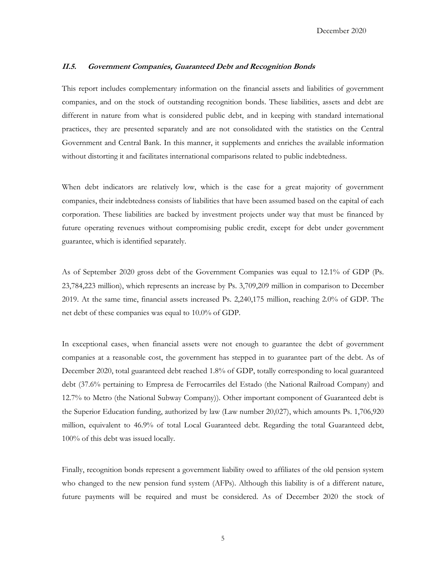#### <span id="page-4-0"></span>**II.5. Government Companies, Guaranteed Debt and Recognition Bonds**

This report includes complementary information on the financial assets and liabilities of government companies, and on the stock of outstanding recognition bonds. These liabilities, assets and debt are different in nature from what is considered public debt, and in keeping with standard international practices, they are presented separately and are not consolidated with the statistics on the Central Government and Central Bank. In this manner, it supplements and enriches the available information without distorting it and facilitates international comparisons related to public indebtedness.

When debt indicators are relatively low, which is the case for a great majority of government companies, their indebtedness consists of liabilities that have been assumed based on the capital of each corporation. These liabilities are backed by investment projects under way that must be financed by future operating revenues without compromising public credit, except for debt under government guarantee, which is identified separately.

As of September 2020 gross debt of the Government Companies was equal to 12.1% of GDP (Ps. 23,784,223 million), which represents an increase by Ps. 3,709,209 million in comparison to December 2019. At the same time, financial assets increased Ps. 2,240,175 million, reaching 2.0% of GDP. The net debt of these companies was equal to 10.0% of GDP.

In exceptional cases, when financial assets were not enough to guarantee the debt of government companies at a reasonable cost, the government has stepped in to guarantee part of the debt. As of December 2020, total guaranteed debt reached 1.8% of GDP, totally corresponding to local guaranteed debt (37.6% pertaining to Empresa de Ferrocarriles del Estado (the National Railroad Company) and 12.7% to Metro (the National Subway Company)). Other important component of Guaranteed debt is the Superior Education funding, authorized by law (Law number 20,027), which amounts Ps. 1,706,920 million, equivalent to 46.9% of total Local Guaranteed debt. Regarding the total Guaranteed debt, 100% of this debt was issued locally.

Finally, recognition bonds represent a government liability owed to affiliates of the old pension system who changed to the new pension fund system (AFPs). Although this liability is of a different nature, future payments will be required and must be considered. As of December 2020 the stock of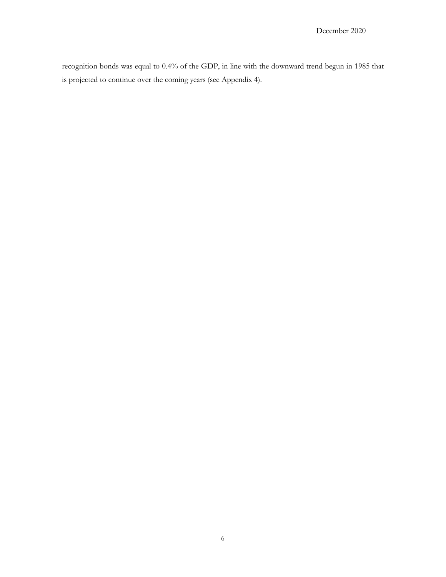recognition bonds was equal to 0.4% of the GDP, in line with the downward trend begun in 1985 that is projected to continue over the coming years (see Appendix 4).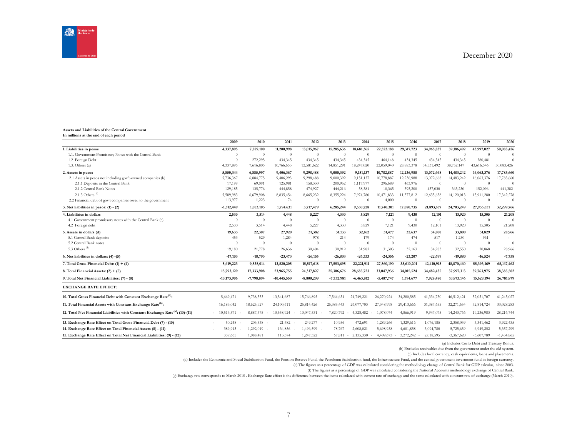

#### **Assets and Liabilities of the Central Government In millions at the end of each period**

|                                                                                            | 2009          | 2010           | 2011           | 2012           | 2013         | 2014                | 2015         | 2016           | 2017       | 2018           | 2019         | 2020         |
|--------------------------------------------------------------------------------------------|---------------|----------------|----------------|----------------|--------------|---------------------|--------------|----------------|------------|----------------|--------------|--------------|
| 1. Liabilities in pesos                                                                    | 4,337,895     | 7,889,100      | 11,200,998     | 13,015,967     | 15,285,636   | 18,681,365          | 22,523,188   | 29,317,723     | 34,965,837 | 39,186,492     | 43,997,027   | 50,083,426   |
| 1.1. Government Promissory Notes with the Central Bank                                     | $\theta$      | $\overline{0}$ | $\overline{0}$ | $\theta$       | $\Omega$     | $\Omega$            | $\Omega$     | $\Omega$       | $\Omega$   | $\Omega$       | $\Omega$     | $\Omega$     |
| 1.2. Foreign Debt                                                                          | $\Omega$      | 272,295        | 434,345        | 434,345        | 434,345      | 434.345             | 464,148      | 434.345        | 434.345    | 434,345        | 380,481      | $\Omega$     |
| 1.3. Others $(a)$                                                                          | 4,337,895     | 7,616,805      | 10,766,653     | 12,581,622     | 14,851,291   | 18,247,020          | 22,059,040   | 28,883,378     | 34,531,492 | 38,752,147     | 43,616,546   | 50,083,426   |
| 2. Assets in pesos                                                                         | 5,850,344     | 6,885,997      | 9,406,367      | 9,298,488      | 9,000,392    | 9,151,137           | 10,782,887   | 12,236,988     | 13,072,668 | 14,483,242     | 16,063,376   | 17,783,660   |
| 2.1 Assets in pesos not including gov't-owned companies (b)                                | 5,736,367     | 6,884,775      | 9,406,293      | 9,298,488      | 9,000,392    | 9,151,137           | 10,778,887   | 12,236,988     | 13,072,668 | 14,483,242     | 16,063,376   | 17,783,660   |
| 2.1.1 Deposits in the Central Bank                                                         | 17,199        | 69,091         | 125,981        | 158,330        | 200,952      | 1,117,977           | 296,689      | 463,976        | $\Omega$   | $\theta$       | $\Omega$     | $\Omega$     |
| 2.1.2 Central Bank Notes                                                                   | 129,185       | 135,776        | 444,858        | 474,927        | 444,216      | 58,381              | 10,365       | 395,200        | 437,030    | 363,230        | 152,096      | 441,382      |
| 2.1.3 Others <sup>(c)</sup>                                                                | 5,589,983     | 6,679,908      | 8,835,454      | 8,665,232      | 8,355,224    | 7,974,780           | 10,471,833   | 11,377,812     | 12,635,638 | 14,120,013     | 15,911,280   | 17,342,278   |
| 2.2 Financial debt of gov't companies owed to the government                               | 113,977       | 1,223          | 74             | $\Omega$       | $\Omega$     | $\Omega$            | 4.000        | $\Omega$       | $\Omega$   | $\Omega$       | $\Omega$     | $\Omega$     |
| 3. Net liabilities in pesos: $(1) - (2)$                                                   | $-1,512,449$  | 1,003,103      | 1,794,631      | 3,717,479      | 6,285,244    | 9,530,228           | 11,740,301   | 17,080,735     | 21,893,169 | 24,703,249     | 27,933,651   | 32,299,766   |
| 4. Liabilities in dollars                                                                  | 2,530         | 3,514          | 4.448          | 5,227          | 4,330        | 5,829               | 7,121        | 9,430          | 12,101     | 13,920         | 15,305       | 21,208       |
| 4.1 Government promissory notes with the Central Bank (c)                                  | $\Omega$      | $\Omega$       | $\Omega$       | $\Omega$       | $\Omega$     | $\Omega$            | $\theta$     | $\theta$       | $\Omega$   | $\theta$       | $\theta$     | $\Omega$     |
| 4.2 Foreign debt                                                                           | 2,530         | 3,514          | 4,448          | 5,227          | 4.330        | 5,829               | 7,121        | 9,430          | 12,101     | 13,920         | 15,305       | 21,208       |
| 5. Assets in dollars (d)                                                                   | 19,633        | 22,307         | 27.920         | 31,382         | 31,133       | 32,162              | 31,477       | 32,637         | 34,800     | 33,800         | 31,829       | 28,966       |
| 5.1 Central Bank deposits                                                                  | 453           | 529            | 1.284          | 978            | 214          | 179                 | 174          | 474            | 517        | 1,250          | 961          |              |
| 5.2 Central Bank notes                                                                     | $\Omega$      | $\overline{0}$ | $\theta$       | $\Omega$       | $\theta$     | $\theta$            | $\theta$     | $\overline{0}$ | $\theta$   | $\overline{0}$ | $\theta$     | $\Omega$     |
| 5.3 Others (d)                                                                             | 19,180        | 21,778         | 26,636         | 30,404         | 30,919       | 31,983              | 31,303       | 32,163         | 34,283     | 32,550         | 30,868       | 28,966       |
| 6. Net liabilities in dollars: (4) -(5)                                                    | $-17.103$     | $-18,793$      | $-23,473$      | $-26,155$      | $-26,803$    | $-26,333$           | $-24,356$    | $-23,207$      | $-22,699$  | $-19.880$      | $-16,524$    | $-7,758$     |
| 7. Total Gross Financial Debt: $(1) + (4)$                                                 | 5,619,223     | 9,535,014      | 13,520,205     | 15,517,618     | 17,553,695   | 22,221,911          | 27,560,190   | 35,610,201     | 42,410,915 | 48,870,460     | 55,393,169   | 65, 167, 462 |
| 8. Total Financial Assets: $(2) + (5)$                                                     | 15,793,129    | 17,333,908     | 23,965,755     | 24,317,827     | 25.306.676   | 28,685,723          | 33,047,936   | 34,015,524     | 34,482,435 | 37,997,313     | 39,763,975   | 38, 385, 582 |
| 9. Total Net Financial Liabilities: (7) - (8)                                              | $-10,173,906$ | -7,798,894     | $-10,445,550$  | $-8,800,209$   | $-7,752,981$ | $-6,463,812$        | $-5,487,747$ | 1,594,677      | 7,928,480  | 10,873,146     | 15,629,194   | 26,781,879   |
| <b>EXCHANGE RATE EFFECT:</b>                                                               |               |                |                |                |              |                     |              |                |            |                |              |              |
| 10. Total Gross Financial Debt with Constant Exchange Rate <sup>(h)</sup> :                | 5,669,471     | 9,738,553      | 13,541,687     | 15,766,895     | 17,564,651   | 21,749,221          | 26,270,924   | 34,280,585     | 41,334,730 | 46,512,421     | 52,051,707   | 61,245,027   |
| 11. Total Financial Assets with Constant Exchange Rate <sup>(h)</sup> :                    | 16,183,042    | 18,625,927     | 24,100,611     | 25,814,426     | 25,385,443   | 26,077,703          | 27.348.998   | 29,413,666     | 31,387,655 | 32,271,654     | 32,814,724   | 33,028,283   |
| 12. Total Net Financial Liabilities with Constant Exchange Rate <sup>(h)</sup> : (10)-(11) | $-10,513,571$ | 8,887,375      | 10,558,924     | $10,047,531$ - | 7,820,792    | 4,328,482<br>$\sim$ | 1,078,074    | 4,866,919      | 9,947,075  | 14,240,766     | 19,236,983   | 28,216,744   |
| 13. Exchange Rate Effect on Total Gross Financial Debt (7) - (10)                          | 50,248        | 203,538 -      | 21,482         | 249,277 -      | 10,956       | 472,691             | 1,289,266    | 1,329,616      | 1,076,185  | 2,358,039      | 3,341,462    | 3,922,435    |
| 14. Exchange Rate Effect on Total Financial Assets (8) - (11)                              | 389.913       | 1,292,019 -    | 134,856 -      | 1,496,599 -    | 78.767       | 2,608,021           | 5,698,938    | 4,601,858      | 3.094.780  | 5,725,659      | 6,949,252    | 5,357,299    |
| 15. Exchange Rate Effect on Total Net Financial Liabilities: (9) - (12)                    | 339.665       | 1.088.481      | 113,374        | 1,247,322      | 67.811       | 2,135,330           | 4.409.673    | 3,272,242      | 2,018,595  | $-3,367,620$   | $-3,607,789$ | $-1,434,865$ |
|                                                                                            |               |                |                |                |              |                     |              |                |            |                |              |              |

(a) Includes Corfo Debt and Treasury Bonds.

(b) Excludes receivables due from the government under the old system.

(c) Includes local currency, cash equivalents, loans and placements.

(d) Includes the Economic and Social Stabilization Fund, the Pension Reserve Fund, the Petroleum Stabilization fund, the Infrastructure Fund, and the central government investment fund in foreign currency.

(e) The figures as a percentage of GDP was calculated considering the methodology change of Central Bank for GDP calculus, since 2003.

(f) The figures as a percentage of GDP was calculated considering the National Accounts methodology exchange of Central Bank.

(g) Exchange rate corresponds to March 2010 . Exchange Rate effect is the difference between the items calculated with current rate of exchange and the same calculated with constant rate of exchange (March 2010).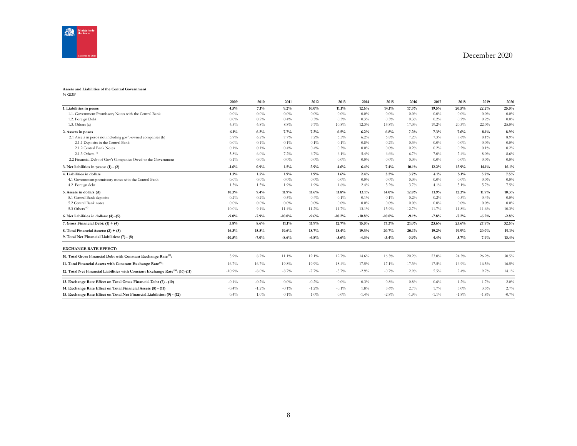

#### **Assets and Liabilities of the Central Government**

**% GDP**

|                                                                                            | 2009     | 2010     | 2011     | 2012     | 2013     | 2014     | 2015     | 2016    | 2017    | 2018    | 2019    | 2020    |
|--------------------------------------------------------------------------------------------|----------|----------|----------|----------|----------|----------|----------|---------|---------|---------|---------|---------|
| 1. Liabilities in pesos                                                                    | 4.5%     | 7.1%     | 9.2%     | $10.0\%$ | 11.1%    | 12.6%    | 14.1%    | 17.3%   | 19.5%   | 20.5%   | 22.2%   | 25.0%   |
| 1.1. Government Promissory Notes with the Central Bank                                     | 0.0%     | 0.0%     | $0.0\%$  | 0.0%     | $0.0\%$  | $0.0\%$  | 0.0%     | 0.0%    | 0.0%    | 0.0%    | $0.0\%$ | $0.0\%$ |
| 1.2. Foreign Debt                                                                          | 0.0%     | $0.2\%$  | 0.4%     | 0.3%     | 0.3%     | 0.3%     | 0.3%     | 0.3%    | 0.2%    | 0.2%    | 0.2%    | $0.0\%$ |
| 1.3. Others(a)                                                                             | 4.5%     | 6.8%     | 8.8%     | 9.7%     | 10.8%    | 12.3%    | 13.8%    | 17.0%   | 19.2%   | 20.3%   | 22.0%   | 25.0%   |
| 2. Assets in pesos                                                                         | 6.1%     | 6.2%     | 7.7%     | 7.2%     | 6.5%     | 6.2%     | 6.8%     | 7.2%    | 7.3%    | 7.6%    | 8.1%    | 8.9%    |
| 2.1 Assets in pesos not including gov't-owned companies (b)                                | 5.9%     | 6.2%     | 7.7%     | 7.2%     | 6.5%     | 6.2%     | 6.8%     | 7.2%    | 7.3%    | 7.6%    | 8.1%    | 8.9%    |
| 2.1.1 Deposits in the Central Bank                                                         | 0.0%     | $0.1\%$  | 0.1%     | $0.1\%$  | 0.1%     | 0.8%     | 0.2%     | 0.3%    | 0.0%    | $0.0\%$ | $0.0\%$ | $0.0\%$ |
| 2.1.2 Central Bank Notes                                                                   | 0.1%     | $0.1\%$  | 0.4%     | 0.4%     | 0.3%     | $0.0\%$  | $0.0\%$  | 0.2%    | 0.2%    | 0.2%    | 0.1%    | 0.2%    |
| 2.1.3 Others $\frac{6}{9}$                                                                 | 5.8%     | $6.0\%$  | 7.2%     | 6.7%     | 6.1%     | 5.4%     | 6.6%     | 6.7%    | 7.0%    | 7.4%    | 8.0%    | 8.6%    |
| 2.2 Financial Debt of Gov't Companies Owed to the Government                               | 0.1%     | $0.0\%$  | $0.0\%$  | 0.0%     | $0.0\%$  | $0.0\%$  | 0.0%     | 0.0%    | 0.0%    | $0.0\%$ | $0.0\%$ | $0.0\%$ |
| 3. Net liabilities in pesos: $(1) - (2)$                                                   | $-1.6%$  | 0.9%     | 1.5%     | 2.9%     | 4.6%     | 6.4%     | 7.4%     | 10.1%   | 12.2%   | 12.9%   | 14.1%   | 16.1%   |
| 4. Liabilities in dollars                                                                  | 1.3%     | 1.5%     | 1.9%     | 1.9%     | 1.6%     | 2.4%     | 3.2%     | 3.7%    | 4.1%    | 5.1%    | 5.7%    | 7.5%    |
| 4.1 Government promissory notes with the Central Bank                                      | 0.0%     | $0.0\%$  | $0.0\%$  | $0.0\%$  | $0.0\%$  | $0.0\%$  | $0.0\%$  | $0.0\%$ | $0.0\%$ | $0.0\%$ | $0.0\%$ | $0.0\%$ |
| 4.2 Foreign debt                                                                           | 1.3%     | $1.5\%$  | 1.9%     | 1.9%     | 1.6%     | 2.4%     | 3.2%     | 3.7%    | 4.1%    | 5.1%    | 5.7%    | 7.5%    |
| 5. Assets in dollars (d)                                                                   | 10.3%    | 9.4%     | 11.9%    | 11.6%    | 11.8%    | 13.1%    | 14.0%    | 12.8%   | 11.9%   | 12.3%   | 11.9%   | 10.3%   |
| 5.1 Central Bank deposits                                                                  | 0.2%     | $0.2\%$  | 0.5%     | 0.4%     | 0.1%     | $0.1\%$  | $0.1\%$  | 0.2%    | 0.2%    | 0.5%    | 0.4%    | $0.0\%$ |
| 5.2 Central Bank notes                                                                     | $0.0\%$  | $0.0\%$  | $0.0\%$  | $0.0\%$  | $0.0\%$  | $0.0\%$  | $0.0\%$  | 0.0%    | $0.0\%$ | $0.0\%$ | $0.0\%$ | $0.0\%$ |
| 5.3 Others <sup>(d)</sup>                                                                  | 10.0%    | 9.1%     | 11.4%    | 11.2%    | 11.7%    | 13.1%    | 13.9%    | 12.7%   | 11.7%   | 11.8%   | 11.6%   | 10.3%   |
| 6. Net liabilities in dollars: (4) -(5)                                                    | $-9.0%$  | $-7.9%$  | $-10.0%$ | $-9.6%$  | $-10.2%$ | $-10.8%$ | $-10.8%$ | $-9.1%$ | $-7.8%$ | $-7.2%$ | $-6.2%$ | $-2.8%$ |
| 7. Gross Financial Debt: $(1) + (4)$                                                       | 5.8%     | 8.6%     | 11.1%    | 11.9%    | 12.7%    | $15.0\%$ | 17.3%    | 21.0%   | 23.6%   | 25.6%   | 27.9%   | 32.5%   |
| 8. Total Financial Assets: $(2) + (5)$                                                     | 16.3%    | 15.5%    | 19.6%    | 18.7%    | 18.4%    | 19.3%    | 20.7%    | 20.1%   | 19.2%   | 19.9%   | 20.0%   | 19.1%   |
| 9. Total Net Financial Liabilities: (7) - (8)                                              | $-10.5%$ | $-7.0%$  | $-8.6%$  | $-6.8%$  | $-5.6%$  | $-4.3%$  | $-3.4%$  | 0.9%    | 4.4%    | 5.7%    | 7.9%    | 13.4%   |
| <b>EXCHANGE RATE EFFECT:</b>                                                               |          |          |          |          |          |          |          |         |         |         |         |         |
| 10. Total Gross Financial Debt with Constant Exchange Rate <sup>(h)</sup> :                | 5.9%     | 8.7%     | 11.1%    | 12.1%    | 12.7%    | 14.6%    | 16.5%    | 20.2%   | 23.0%   | 24.3%   | 26.2%   | 30.5%   |
| 11. Total Financial Assets with Constant Exchange Rate <sup>(h)</sup> :                    | 16.7%    | 16.7%    | 19.8%    | 19.9%    | 18.4%    | 17.5%    | 17.1%    | 17.3%   | 17.5%   | 16.9%   | 16.5%   | 16.5%   |
| 12. Total Net Financial Liabilities with Constant Exchange Rate <sup>(h)</sup> : (10)-(11) | $-10.9%$ | $-8.0\%$ | $-8.7\%$ | $-7.7%$  | $-5.7%$  | $-2.9%$  | $-0.7\%$ | 2.9%    | 5.5%    | 7.4%    | 9.7%    | 14.1%   |
| 13. Exchange Rate Effect on Total Gross Financial Debt (7) - (10)                          | $-0.1\%$ | $-0.2%$  | $0.0\%$  | $-0.2%$  | $0.0\%$  | 0.3%     | $0.8\%$  | 0.8%    | 0.6%    | 1.2%    | 1.7%    | 2.0%    |
| 14. Exchange Rate Effect on Total Financial Assets (8) - (11)                              | $-0.4%$  | $-1.2%$  | $-0.1%$  | $-1.2%$  | $-0.1%$  | 1.8%     | 3.6%     | 2.7%    | 1.7%    | 3.0%    | 3.5%    | 2.7%    |
| 15. Exchange Rate Effect on Total Net Financial Liabilities: (9) - (12)                    | 0.4%     | 1.0%     | 0.1%     | 1.0%     | $0.0\%$  | $-1.4%$  | $-2.8%$  | $-1.9%$ | $-1.1%$ | $-1.8%$ | $-1.8%$ | $-0.7%$ |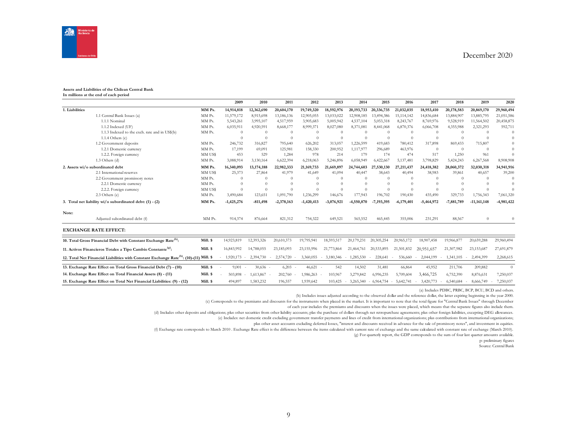

#### **Assets and Liabilities of the Chilean Central Bank In millions at the end of each period**

|                |                                                                                                     |          | 2009         | 2010       | 2011         | 2012         | 2013         | 2014       | 2015         | 2016         | 2017         | 2018         | 2019          | 2020       |
|----------------|-----------------------------------------------------------------------------------------------------|----------|--------------|------------|--------------|--------------|--------------|------------|--------------|--------------|--------------|--------------|---------------|------------|
| 1. Liabilities |                                                                                                     | MM Ps.   | 14,914,818   | 12,362,690 | 20,604,170   | 19,749,320   | 18,592,976   | 20,193,733 | 20,336,735   | 21,032,035   | 18,953,410   | 20,178,583   | 20,869,170    | 29,960,494 |
|                | 1.1 Central Bank Issues (a)                                                                         | MM Ps.   | 11,579,172   | 8,915,698  | 13,186,136   | 12,905,055   | 13,033,022   | 12,908,185 | 13,494,386   | 15,114,142   | 14,836,684   | 13,884,907   | 13,885,795    | 21,051,586 |
|                | 1.1.1 Nominal                                                                                       | MM Ps.   | 5,543,261    | 3,995,107  | 4,517,959    | 3,905,683    | 5,005,942    | 4,537,104  | 5,053,318    | 8,243,767    | 8,769,976    | 9,528,919    | 11,564,502    | 20,458,875 |
|                | 1.1.2 Indexed (UF)                                                                                  | MM Ps.   | 6,035,911    | 4,920,591  | 8,668,177    | 8,999,371    | 8,027,080    | 8,371,081  | 8,441,068    | 6,870,376    | 6,066,708    | 4,355,988    | 2,321,293     | 592,711    |
|                | 1.1.3 Indexed to the exch. rate and in US\$(b)                                                      | MM Ps.   |              | $\Omega$   |              | $\Omega$     | $\Omega$     | $\Omega$   | $\Omega$     | $\Omega$     | $\Omega$     | $\Omega$     | $\Omega$      | $\Omega$   |
|                | 1.1.4 Others $(c)$                                                                                  |          |              | $\Omega$   | $^{(1)}$     | $\Omega$     | $\Omega$     | $\theta$   | $\Omega$     | $\Omega$     | $\Omega$     |              | $\Omega$      | $\Omega$   |
|                | 1.2 Government deposits                                                                             | MM Ps.   | 246,732      | 316,827    | 795,640      | 626,202      | 313,057      | 1,226,599  | 419,683      | 780,412      | 317,898      | 869,433      | 715,807       | $\theta$   |
|                | 1.2.1 Domestic currency                                                                             | MM Ps.   | 17,199       | 69,091     | 125,981      | 158,330      | 200,952      | 1,117,977  | 296,689      | 463,976      | $\Omega$     | $\Omega$     | $\Omega$      | $\Omega$   |
|                | 1.2.2. Foreign currency                                                                             | MM US\$  | 453          | 529        | 1,284        | 978          | 214          | 179        | 174          | 474          | 517          | 1,250        | 961           | $\Omega$   |
|                | 1.3 Others (d)                                                                                      | MM Ps.   | 3,088,914    | 3,130,164  | 6,622,394    | 6,218,063    | 5,246,896    | 6,058,949  | 6,422,667    | 5,137,481    | 3,798,829    | 5,424,243    | 6,267,568     | 8,908,908  |
|                | 2. Assets wi/o subordinated debt                                                                    | MM Ps.   | 16,340,093   | 13,174,188 | 22,982,333   | 21,169,733   | 21,669,897   | 24,744,603 | 27,530,130   | 27,211,437   | 24,418,382   | 28,060,372   | 32,030,318    | 34,941,916 |
|                | 2.1 International reserves                                                                          | MM US\$  | 25,373       | 27,864     | 41.979       | 41,649       | 41.094       | 40,447     | 38.643       | 40,494       | 38.983       | 39,861       | 40,657        | 39,200     |
|                | 2.2 Government promissory notes                                                                     | MM Ps.   |              | $\Omega$   |              | $\Omega$     | $\Omega$     | $\Omega$   | $\Omega$     |              | $\Omega$     |              | $\Omega$      | $\Omega$   |
|                | 2.2.1 Domestic currency                                                                             | MM Ps.   |              |            |              | $\Omega$     | $\Omega$     | $\Omega$   | $\Omega$     |              |              |              |               | $\Omega$   |
|                | 2.2.2. Foreign currency                                                                             | MM US\$  | $\Omega$     | $\Omega$   |              | $\Omega$     | $\Omega$     | $\Omega$   | $\Omega$     | $\Omega$     | $\Omega$     |              | $\Omega$      | $\Omega$   |
|                | 2.3 Others (e)                                                                                      | MM Ps.   | 3,490,684    | 123,651    | 1,091,790    | 1,236,299    | 146,676      | 177,943    | 196,702      | 190,430      | 435,490      | 329,733      | 1,756,343     | 7,061,320  |
|                | 3. Total net liability wi/o subordinated debt: (1) - (2)                                            | MM Ps.   | $-1,425,276$ | $-811,498$ | $-2,378,163$ | $-1,420,413$ | $-3.076.921$ | -4,550,870 | $-7.193.395$ | $-6,179,401$ | $-5,464,972$ | $-7,881,789$ | $-11,161,148$ | -4,981,422 |
| Note:          |                                                                                                     |          |              |            |              |              |              |            |              |              |              |              |               |            |
|                | Adjusted subordinated debt (f)                                                                      | MM Ps.   | 914,374      | 876,664    | 821,312      | 754,322      | 649,521      | 565,552    | 465,445      | 355,006      | 231,291      | 88,567       | $\Omega$      | $\Omega$   |
|                | <b>EXCHANGE RATE EFFECT:</b>                                                                        |          |              |            |              |              |              |            |              |              |              |              |               |            |
|                | 10. Total Gross Financial Debt with Constant Exchange Rate <sup>(h)</sup> :                         | Mill. \$ | 14,923,819   | 12,393,326 | 20,610,373   | 19,795,941   | 18,593,517   | 20,179,231 | 20,305,254   | 20,965,172   | 18,907,458   | 19,966,877   | 20,659,288    | 29,960,494 |
|                | 11. Activos Financieros Totales a Tipo Cambio Constante <sup>(g)</sup> :                            | Mill. \$ | 16,843,992   | 14,788,055 | 23,185,093   | 23,155,996   | 21,773,864   | 21.464.761 | 20,533,895   | 21,501,832   | 20,951,657   | 21,307,982   | 23,153,687    | 27,691,879 |
|                | 12. Total Net Financial Liabilities with Constant Exchange Rate <sup>(h)</sup> : (10)-(11) Mill. \$ |          | 1,920,173    | 2,394,730  | 2,574,720    | 3,360,055    | 3,180,346    | 1,285,530  | 228,641      | 536,660      | 2,044,199    | 1,341,105    | 2,494,399     | 2,268,615  |
|                | 13. Exchange Rate Effect on Total Gross Financial Debt (7) - (10)                                   | Mill. \$ | 9,001        | $30,636 -$ | 6,203        | 46,621       | 542          | 14,502     | 31,481       | 66,864       | 45,952       | 211,706      | 209,882       | $\Omega$   |
|                | 14. Exchange Rate Effect on Total Financial Assets (8) - (11)                                       | Mill. \$ | 503,898      | 1,613,867  | 202,760      | 1,986,263    | 103,967      | 3,279,842  | 6,996,235    | 5,709,604    | 3,466,725    | 6,752,390    | 8,876,631     | 7,250,037  |
|                | 15. Exchange Rate Effect on Total Net Financial Liabilities: (9) - (12)                             | Mill. \$ | 494,897      | 1,583,232  | 196,557      | 1,939,642    | 103,425      | 3,265,340  | $-6,964,754$ | 5,642,741    | 3,420,773    | 6,540,684    | 8,666,749     | 7,250,037  |

(a) Includes PDBC, PRBC, BCP, BCU, BCD and others.

(b) Includes issues adjusted according to the observed dollar and the reference dollar, the latter expiring beginning in the year 2000.

(c) Corresponds to the premiums and discounts for the instruments when placed in the market. It is important to note that the total figure for "Central Bank Issues" through December

of each year includes the premiums and discounts when the issues were placed, which means that the separate figures also include them.

(d) Includes other deposits and obligations; plus other securities from other liability accounts; plas the purchase of dollars through net retropurchase agreements; plus other foreign liabilities, excepting DEG allowances.

(e) Includes: net domestic credit excluding government transfer payments and lines of credit from international organizations; plus contributions from international organizations;

plus other asset accounts excluding deferred losses, "interest and discounts received in advance for the sale of promissory notes", and investment in equities.

(f) Exchange rate corresponds to March 2010 . Exchange Rate effect is the difference between the items calculated with current rate of exchange and the same calculated with constant rate of exchange (March 2010).

(g) For quarterly report, the GDP corresponds to the sum of four last quarter amounts available.

p: preliminary figures

Source: Central Bank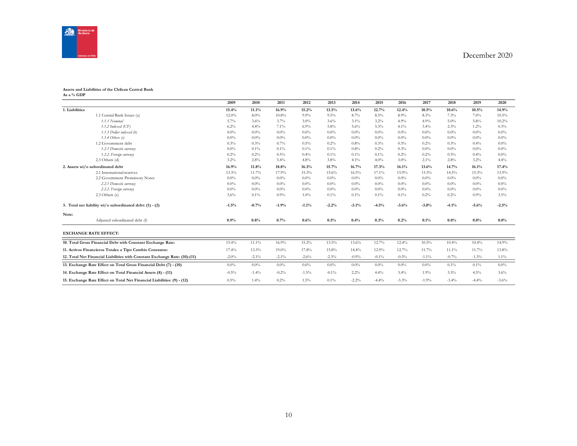

#### **Assets and Liabilities of the Chilean Central Bank As a % GDP**

|                                                                            | 2009     | 2010     | 2011     | 2012     | 2013     | 2014    | 2015     | 2016    | 2017     | 2018     | 2019    | 2020     |
|----------------------------------------------------------------------------|----------|----------|----------|----------|----------|---------|----------|---------|----------|----------|---------|----------|
| 1. Liabilities                                                             | 15.4%    | 11.1%    | 16.9%    | 15.2%    | 13.5%    | 13.6%   | 12.7%    | 12.4%   | 10.5%    | 10.6%    | 10.5%   | 14.9%    |
| 1.1 Central Bank Issues (a)                                                | $12.0\%$ | $8.0\%$  | 10.8%    | 9.9%     | 9.5%     | 8.7%    | $8.5\%$  | 8.9%    | 8.3%     | 7.3%     | $7.0\%$ | $10.5\%$ |
| 1.1.1 Nominal                                                              | 5.7%     | 3.6%     | 3.7%     | 3.0%     | 3.6%     | $3.1\%$ | 3.2%     | 4.9%    | 4.9%     | $5.0\%$  | $5.8\%$ | 10.2%    |
| $1.1.2$ Indexed (UF)                                                       | 6.2%     | 4.4%     | $7.1\%$  | 6.9%     | 5.8%     | 5.6%    | $5.3\%$  | 4.1%    | 3.4%     | $2.3\%$  | $1.2\%$ | 0.3%     |
| 1.1.3 Dollar indexed (b)                                                   | $0.0\%$  | $0.0\%$  | $0.0\%$  | $0.0\%$  | $0.0\%$  | $0.0\%$ | $0.0\%$  | $0.0\%$ | $0.0\%$  | $0.0\%$  | $0.0\%$ | $0.0\%$  |
| $1.1.4$ Others (c)                                                         | $0.0\%$  | $0.0\%$  | $0.0\%$  | $0.0\%$  | $0.0\%$  | $0.0\%$ | $0.0\%$  | $0.0\%$ | $0.0\%$  | $0.0\%$  | $0.0\%$ | $0.0\%$  |
| 1.2 Government debt                                                        | 0.3%     | 0.3%     | $0.7\%$  | 0.5%     | $0.2\%$  | $0.8\%$ | 0.3%     | 0.5%    | 0.2%     | $0.5\%$  | $0.4\%$ | $0.0\%$  |
| 1.2.1 Domestic currency                                                    | $0.0\%$  | $0.1\%$  | $0.1\%$  | $0.1\%$  | $0.1\%$  | $0.8\%$ | 0.2%     | 0.3%    | $0.0\%$  | $0.0\%$  | $0.0\%$ | $0.0\%$  |
| 1.2.2. Foreign currency                                                    | 0.2%     | 0.2%     | $0.5\%$  | 0.4%     | $0.1\%$  | $0.1\%$ | $0.1\%$  | 0.2%    | 0.2%     | $0.5\%$  | 0.4%    | $0.0\%$  |
| $2.3$ Others (d)                                                           | $3.2\%$  | 2.8%     | 5.4%     | 4.8%     | 3.8%     | $4.1\%$ | $4.0\%$  | $3.0\%$ | $2.1\%$  | $2.8\%$  | $3.2\%$ | 4.4%     |
| 2. Assets wi/o subordinated debt                                           | 16.9%    | 11.8%    | 18.8%    | 16.3%    | 15.7%    | 16.7%   | 17.3%    | 16.1%   | 13.6%    | 14.7%    | 16.1%   | 17.4%    |
| 2.1 International reserves                                                 | 13.3%    | 11.7%    | 17.9%    | 15.3%    | 15.6%    | 16.5%   | 17.1%    | 15.9%   | 13.3%    | $14.5\%$ | 15.3%   | 13.9%    |
| 2.2 Government Promissory Notes                                            | $0.0\%$  | $0.0\%$  | $0.0\%$  | $0.0\%$  | $0.0\%$  | $0.0\%$ | $0.0\%$  | $0.0\%$ | $0.0\%$  | $0.0\%$  | $0.0\%$ | $0.0\%$  |
| 2.2.1 Domestic currency                                                    | $0.0\%$  | $0.0\%$  | $0.0\%$  | $0.0\%$  | $0.0\%$  | $0.0\%$ | $0.0\%$  | $0.0\%$ | $0.0\%$  | $0.0\%$  | $0.0\%$ | $0.0\%$  |
| 2.2.2. Foreign currency                                                    | $0.0\%$  | $0.0\%$  | $0.0\%$  | $0.0\%$  | $0.0\%$  | $0.0\%$ | $0.0\%$  | $0.0\%$ | $0.0\%$  | $0.0\%$  | $0.0\%$ | $0.0\%$  |
| 2.3 Others (e)                                                             | 3.6%     | $0.1\%$  | $0.9\%$  | 1.0%     | $0.1\%$  | $0.1\%$ | $0.1\%$  | $0.1\%$ | 0.2%     | $0.2\%$  | $0.9\%$ | $3.5\%$  |
| 3. Total net liability wi/o subordinated debt: (1) - (2)                   | $-1.5%$  | $-0.7%$  | $-1.9%$  | $-1.1%$  | $-2.2%$  | $-3.1%$ | $-4.5%$  | $-3.6%$ | $-3.0%$  | $-4.1%$  | $-5.6%$ | $-2.5%$  |
| Note:                                                                      |          |          |          |          |          |         |          |         |          |          |         |          |
| Adjusted subordinated debt (f)                                             | 0.9%     | 0.8%     | 0.7%     | 0.6%     | 0.5%     | 0.4%    | 0.3%     | 0.2%    | 0.1%     | $0.0\%$  | 0.0%    | $0.0\%$  |
| <b>EXCHANGE RATE EFFECT:</b>                                               |          |          |          |          |          |         |          |         |          |          |         |          |
| 10. Total Gross Financial Debt with Constant Exchange Rate:                | 15.4%    | $11.1\%$ | 16.9%    | $15.2\%$ | 13.5%    | 13.6%   | 12.7%    | 12.4%   | $10.5\%$ | 10.4%    | 10.4%   | 14.9%    |
| 11. Activos Financieros Totales a Tipo Cambio Constante:                   | 17.4%    | 13.3%    | 19.0%    | 17.8%    | 15.8%    | 14.4%   | 12.9%    | 12.7%   | 11.7%    | 11.1%    | 11.7%   | 13.8%    |
| 12. Total Net Financial Liabilities with Constant Exchange Rate: (10)-(11) | $-2.0\%$ | $-2.1\%$ | $-2.1\%$ | $-2.6%$  | $-2.3%$  | $-0.9%$ | $-0.1\%$ | $-0.3%$ | $-1.1\%$ | $-0.7\%$ | $-1.3%$ | $1.1\%$  |
| 13. Exchange Rate Effect on Total Gross Financial Debt (7) - (10)          | $0.0\%$  | $0.0\%$  | $0.0\%$  | $0.0\%$  | $0.0\%$  | $0.0\%$ | $0.0\%$  | $0.0\%$ | $0.0\%$  | $0.1\%$  | $0.1\%$ | $0.0\%$  |
| 14. Exchange Rate Effect on Total Financial Assets (8) - (11)              | $-0.5%$  | $-1.4%$  | $-0.2%$  | $-1.5%$  | $-0.1\%$ | $2.2\%$ | 4.4%     | $3.4\%$ | 1.9%     | $3.5\%$  | 4.5%    | 3.6%     |
| 15. Exchange Rate Effect on Total Net Financial Liabilities: (9) - (12)    | $0.5\%$  | 1.4%     | 0.2%     | 1.5%     | $0.1\%$  | $-2.2%$ | $-4.4%$  | $-3.3%$ | $-1.9%$  | $-3.4%$  | $-4.4%$ | $-3.6%$  |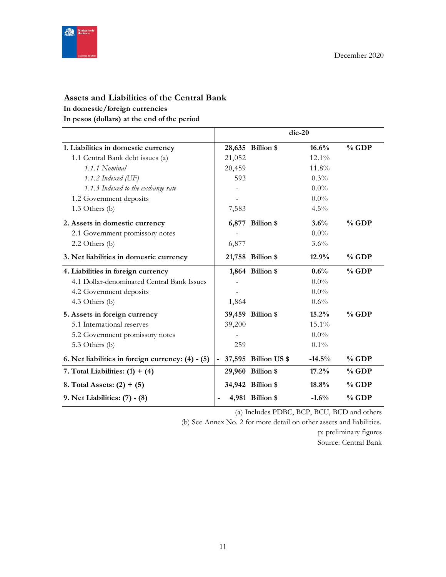

# **Assets and Liabilities of the Central Bank**

## **In domestic/foreign currencies**

**In pesos (dollars) at the end of the period**

|                                                   |        |                      | $dic-20$ |          |
|---------------------------------------------------|--------|----------------------|----------|----------|
| 1. Liabilities in domestic currency               |        | 28,635 Billion \$    | 16.6%    | $%$ GDP  |
| 1.1 Central Bank debt issues (a)                  | 21,052 |                      | $12.1\%$ |          |
| 1.1.1 Nominal                                     | 20,459 |                      | 11.8%    |          |
| 1.1.2 Indexed $(\mathrm{UF})$                     | 593    |                      | $0.3\%$  |          |
| 1.1.3 Indexed to the exchange rate                |        |                      | $0.0\%$  |          |
| 1.2 Government deposits                           |        |                      | $0.0\%$  |          |
| 1.3 Others (b)                                    | 7,583  |                      | 4.5%     |          |
| 2. Assets in domestic currency                    |        | 6,877 Billion \$     | 3.6%     | $\%$ GDP |
| 2.1 Government promissory notes                   |        |                      | $0.0\%$  |          |
| 2.2 Others (b)                                    | 6,877  |                      | $3.6\%$  |          |
| 3. Net liabilities in domestic currency           |        | 21,758 Billion \$    | 12.9%    | $\%$ GDP |
| 4. Liabilities in foreign currency                |        | 1,864 Billion \$     | $0.6\%$  | $%$ GDP  |
| 4.1 Dollar-denominated Central Bank Issues        |        |                      | $0.0\%$  |          |
| 4.2 Government deposits                           |        |                      | $0.0\%$  |          |
| 4.3 Others (b)                                    | 1,864  |                      | 0.6%     |          |
| 5. Assets in foreign currency                     |        | 39,459 Billion \$    | 15.2%    | $%$ GDP  |
| 5.1 International reserves                        | 39,200 |                      | 15.1%    |          |
| 5.2 Government promissory notes                   |        |                      | $0.0\%$  |          |
| 5.3 Others (b)                                    | 259    |                      | $0.1\%$  |          |
| 6. Net liabilities in foreign currency: (4) - (5) |        | 37,595 Billion US \$ | $-14.5%$ | $%$ GDP  |
| 7. Total Liabilities: $(1) + (4)$                 |        | 29,960 Billion \$    | 17.2%    | $%$ GDP  |
| 8. Total Assets: $(2) + (5)$                      |        | 34,942 Billion \$    | 18.8%    | $%$ GDP  |
| 9. Net Liabilities: (7) - (8)                     |        | 4,981 Billion \$     | $-1.6%$  | % GDP    |

(a) Includes PDBC, BCP, BCU, BCD and others

(b) See Annex No. 2 for more detail on other assets and liabilities.

p: preliminary figures Source: Central Bank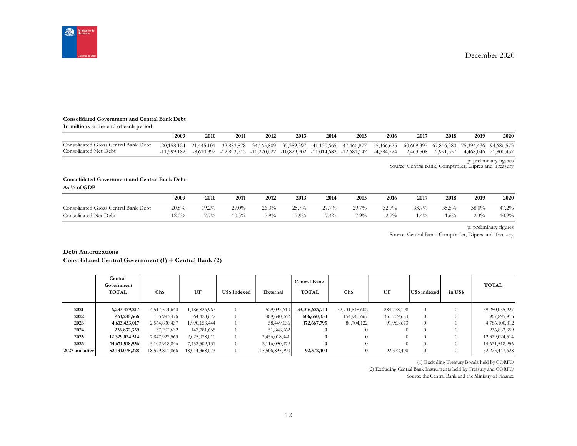

#### **Consolidated Government and Central Bank Debt**

| In millions at the end of each period |  |
|---------------------------------------|--|
|---------------------------------------|--|

|                                      | 2009          | 2010       | 2011       | 2012       | 2013       | 2014 | 2015                                                                               | 2016       | 2017      | 2018                  | 2019 | 2020                  |
|--------------------------------------|---------------|------------|------------|------------|------------|------|------------------------------------------------------------------------------------|------------|-----------|-----------------------|------|-----------------------|
| Consolidated Gross Central Bank Debt | 20.158.124    | 21.445.101 | 32,883,878 | 34,165,809 | 35,389,397 |      | 41,130,665 47,466,877                                                              | 55,466,625 |           | 60,609,397 67,816,380 |      | 75,394,436 94,686,573 |
| Consolidated Net Debt                | $-11.599.182$ |            |            |            |            |      | $-8,610,392$ $-12,823,713$ $-10,220,622$ $-10,829,902$ $-11,014,682$ $-12,681,142$ | -4,584,724 | 2,463,508 | 2,991,357             |      | 4,468,046 21,800,457  |

p: preliminary figures Source: Central Bank, Comptroller, Dipres and Treasury

#### **Consolidated Government and Central Bank Debt**

**As % of GDP**

|                                                          | 2009     | 2010     | 2011      | 2012    | 2013              | 2014     | 2015                  | 2016            | 2017   | 2018   | 2019  | 2020     |
|----------------------------------------------------------|----------|----------|-----------|---------|-------------------|----------|-----------------------|-----------------|--------|--------|-------|----------|
| Central Bank Debt<br>$\lrcorner$ Gross C<br>Consolidated | 20.8%    | $19.2\%$ | 27.0%     | 26.3%   | 25.70%<br>23. I I | 27.7%    | $29.7\%$<br><i>--</i> | 32.7%           | 33.7%  | 35.5%  | 38.0% | 47.2%    |
| Consolidated Net Debt                                    | $-12.0%$ | $7.7\%$  | $-10.5\%$ | $-7.9%$ | $-7.9\%$          | $-7.4\%$ | $-7.9\%$              | $2.7\%$<br>-4.1 | $.4\%$ | $.6\%$ | 2.3%  | $10.9\%$ |

p: preliminary figures

Source: Central Bank, Comptroller, Dipres and Treasury

#### **Debt Amortizations**

**Consolidated Central Government (1) + Central Bank (2)**

|                | Central<br>Government<br><b>TOTAL</b> | Ch\$           | UF             | <b>US\$ Indexed</b> | External       | Central Bank<br><b>TOTAL</b> | Ch\$           | UF          | US\$ indexed | in US\$ | <b>TOTAL</b>   |
|----------------|---------------------------------------|----------------|----------------|---------------------|----------------|------------------------------|----------------|-------------|--------------|---------|----------------|
| 2021           | 6,233,429,217                         | 4,517,504,640  | 1,186,826,967  | $\Omega$            | 529,097,610    | 33,016,626,710               | 32,731,848,602 | 284,778,108 | $\Omega$     |         | 39,250,055,927 |
| 2022           | 461,245,566                           | 35,993,476     | $-64,428,672$  | $\Omega$            | 489,680,762    | 506,650,350                  | 154,940,667    | 351,709,683 | $\Omega$     |         | 967,895,916    |
| 2023           | 4,613,433,017                         | 2,564,830,437  | 1,990,153,444  | $\Omega$            | 58,449,136     | 172,667,795                  | 80,704,122     | 91,963,673  | $\Omega$     |         | 4,786,100,812  |
| 2024           | 236,832,359                           | 37,202,632     | 147,781,665    | $\Omega$            | 51,848,062     |                              | $\Omega$       |             |              |         | 236,832,359    |
| 2025           | 12,329,024,514                        | 7,847,927,563  | 2,025,078,010  | $\overline{0}$      | 2,456,018,941  |                              | $\Omega$       |             | $\Omega$     |         | 12,329,024,514 |
| 2026           | 14,671,518,956                        | 5,102,918,846  | 7,452,509,131  | $\Omega$            | 2,116,090,979  | 0                            | $\theta$       |             |              |         | 14,671,518,956 |
| 2027 and after | 52, 131, 075, 228                     | 18,579,811,866 | 18,044,368,073 | $\Omega$            | 15,506,895,290 | 92,372,400                   | $\theta$       | 92,372,400  | $\Omega$     |         | 52,223,447,628 |

(1) Excluding Treasury Bonds held by CORFO

(2) Excluding Central Bank Instruments held by Treasury and CORFO

Source: the Central Bank and the Ministry of Finance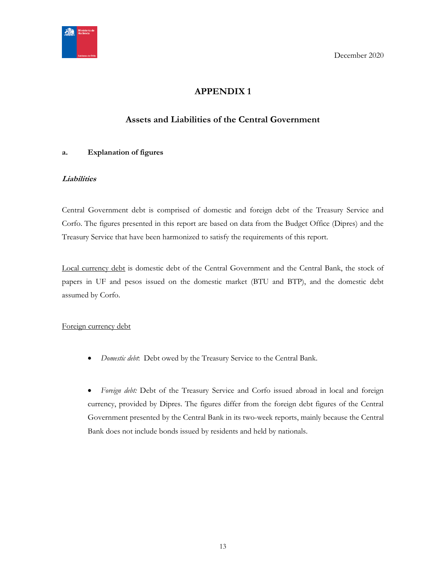<span id="page-12-0"></span>

# **APPENDIX 1**

# **Assets and Liabilities of the Central Government**

## <span id="page-12-1"></span>**a. Explanation of figures**

## **Liabilities**

Central Government debt is comprised of domestic and foreign debt of the Treasury Service and Corfo. The figures presented in this report are based on data from the Budget Office (Dipres) and the Treasury Service that have been harmonized to satisfy the requirements of this report.

Local currency debt is domestic debt of the Central Government and the Central Bank, the stock of papers in UF and pesos issued on the domestic market (BTU and BTP), and the domestic debt assumed by Corfo.

## Foreign currency debt

*Domestic debt*: Debt owed by the Treasury Service to the Central Bank.

 *Foreign debt:* Debt of the Treasury Service and Corfo issued abroad in local and foreign currency, provided by Dipres. The figures differ from the foreign debt figures of the Central Government presented by the Central Bank in its two-week reports, mainly because the Central Bank does not include bonds issued by residents and held by nationals.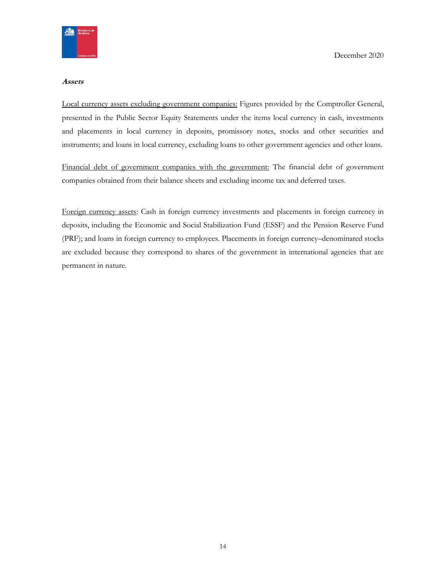

#### **Assets**

Local currency assets excluding government companies: Figures provided by the Comptroller General, presented in the Public Sector Equity Statements under the items local currency in cash, investments and placements in local currency in deposits, promissory notes, stocks and other securities and instruments; and loans in local currency, excluding loans to other government agencies and other loans.

Financial debt of government companies with the government: The financial debt of government companies obtained from their balance sheets and excluding income tax and deferred taxes.

Foreign currency assets: Cash in foreign currency investments and placements in foreign currency in deposits, including the Economic and Social Stabilization Fund (ESSF) and the Pension Reserve Fund (PRF); and loans in foreign currency to employees. Placements in foreign currency–denominated stocks are excluded because they correspond to shares of the government in international agencies that are permanent in nature.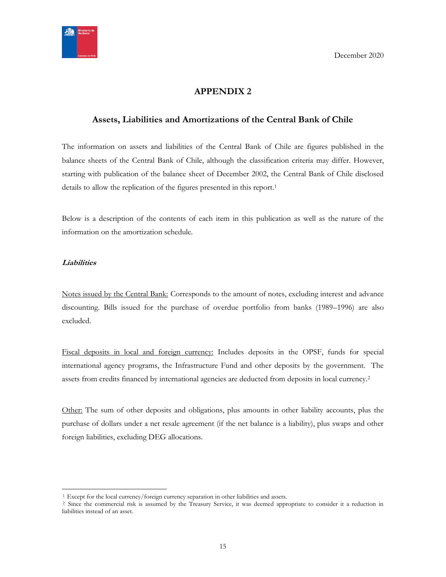

# **APPENDIX 2**

## <span id="page-14-1"></span><span id="page-14-0"></span>**Assets, Liabilities and Amortizations of the Central Bank of Chile**

The information on assets and liabilities of the Central Bank of Chile are figures published in the balance sheets of the Central Bank of Chile, although the classification criteria may differ. However, starting with publication of the balance sheet of December 2002, the Central Bank of Chile disclosed details to allow the replication of the figures presented in this report.<sup>1</sup>

Below is a description of the contents of each item in this publication as well as the nature of the information on the amortization schedule.

## **Liabilities**

 $\overline{a}$ 

Notes issued by the Central Bank: Corresponds to the amount of notes, excluding interest and advance discounting. Bills issued for the purchase of overdue portfolio from banks (1989–1996) are also excluded.

Fiscal deposits in local and foreign currency: Includes deposits in the OPSF, funds for special international agency programs, the Infrastructure Fund and other deposits by the government. The assets from credits financed by international agencies are deducted from deposits in local currency.<sup>2</sup>

Other: The sum of other deposits and obligations, plus amounts in other liability accounts, plus the purchase of dollars under a net resale agreement (if the net balance is a liability), plus swaps and other foreign liabilities, excluding DEG allocations.

<sup>&</sup>lt;sup>1</sup>. Except for the local currency/foreign currency separation in other liabilities and assets.

<sup>&</sup>lt;sup>2</sup> Since the commercial risk is assumed by the Treasury Service, it was deemed appropriate to consider it a reduction in liabilities instead of an asset.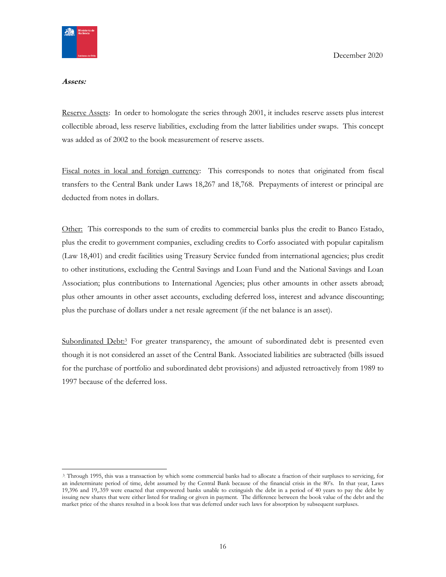

#### **Assets:**

Reserve Assets: In order to homologate the series through 2001, it includes reserve assets plus interest collectible abroad, less reserve liabilities, excluding from the latter liabilities under swaps. This concept was added as of 2002 to the book measurement of reserve assets.

Fiscal notes in local and foreign currency: This corresponds to notes that originated from fiscal transfers to the Central Bank under Laws 18,267 and 18,768. Prepayments of interest or principal are deducted from notes in dollars.

Other: This corresponds to the sum of credits to commercial banks plus the credit to Banco Estado, plus the credit to government companies, excluding credits to Corfo associated with popular capitalism (Law 18,401) and credit facilities using Treasury Service funded from international agencies; plus credit to other institutions, excluding the Central Savings and Loan Fund and the National Savings and Loan Association; plus contributions to International Agencies; plus other amounts in other assets abroad; plus other amounts in other asset accounts, excluding deferred loss, interest and advance discounting; plus the purchase of dollars under a net resale agreement (if the net balance is an asset).

Subordinated Debt:<sup>3</sup> For greater transparency, the amount of subordinated debt is presented even though it is not considered an asset of the Central Bank. Associated liabilities are subtracted (bills issued for the purchase of portfolio and subordinated debt provisions) and adjusted retroactively from 1989 to 1997 because of the deferred loss.

<sup>3</sup> Through 1995, this was a transaction by which some commercial banks had to allocate a fraction of their surpluses to servicing, for an indeterminate period of time, debt assumed by the Central Bank because of the financial crisis in the 80's. In that year, Laws 19,396 and 19,.359 were enacted that empowered banks unable to extinguish the debt in a period of 40 years to pay the debt by issuing new shares that were either listed for trading or given in payment. The difference between the book value of the debt and the market price of the shares resulted in a book loss that was deferred under such laws for absorption by subsequent surpluses.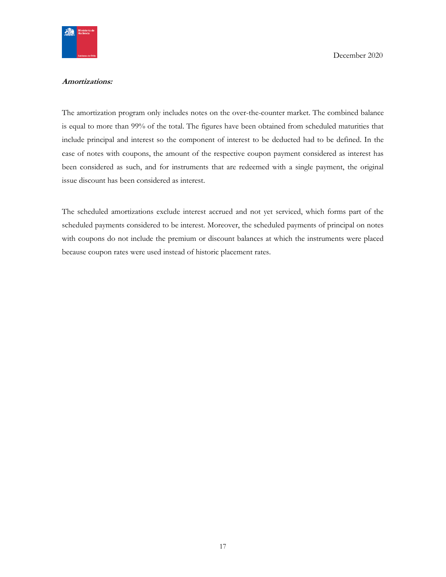

### **Amortizations:**

The amortization program only includes notes on the over-the-counter market. The combined balance is equal to more than 99% of the total. The figures have been obtained from scheduled maturities that include principal and interest so the component of interest to be deducted had to be defined. In the case of notes with coupons, the amount of the respective coupon payment considered as interest has been considered as such, and for instruments that are redeemed with a single payment, the original issue discount has been considered as interest.

The scheduled amortizations exclude interest accrued and not yet serviced, which forms part of the scheduled payments considered to be interest. Moreover, the scheduled payments of principal on notes with coupons do not include the premium or discount balances at which the instruments were placed because coupon rates were used instead of historic placement rates.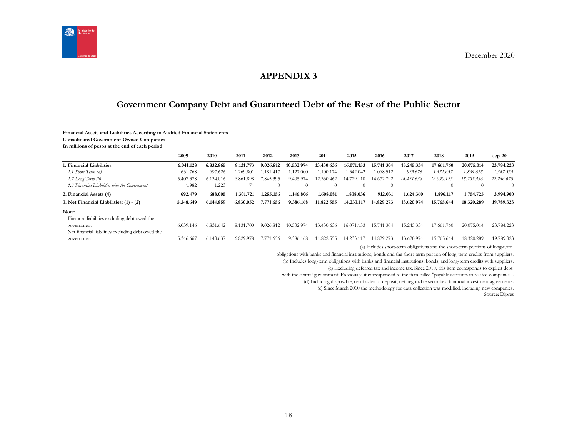

## **APPENDIX 3**

# **Government Company Debt and Guaranteed Debt of the Rest of the Public Sector**

#### **Financial Assets and Liabilities According to Audited Financial Statements**

**Consolidated Government-Owned Companies**

**In millions of pesos at the end of each period**

<span id="page-17-1"></span><span id="page-17-0"></span>

|                                                   | 2009      | 2010      | 2011          | 2012           | 2013       | 2014       | 2015           | 2016       | 2017       | 2018               | 2019       | $sep-20$   |
|---------------------------------------------------|-----------|-----------|---------------|----------------|------------|------------|----------------|------------|------------|--------------------|------------|------------|
| 1. Financial Liabilities                          | 6.041.128 | 6.832.865 | 8.131.773     | 9.026.812      | 10.532.974 | 13.430.636 | 16.071.153     | 15.741.304 | 15.245.334 | 17.661.760         | 20.075.014 | 23.784.223 |
| 1.1 Short Term (a)                                | 631.768   | 697.626   | .269.801      | 1.181.417      | .127.000   | 1.100.174  | 1.342.042      | 1.068.512  | 823.676    | 1.571.637          | 1.869.678  | 1.547.553  |
| $1.2$ Long Term $(b)$                             | 5.407.378 | 6.134.016 | 6.861.898     | 7.845.395      | 9.405.974  | 12.330.462 | 14.729.<br>110 | 14.672.792 | 14.421.658 | 16.090.123         | 18.205.336 | 22.236.670 |
| 1.3 Financial Liabilities with the Government     | 1.982     | 1.223     | 74            | $\Omega$       | $\theta$   |            | $\Omega$       | $\theta$   |            | $\left( 0 \right)$ | $\Omega$   | $\Omega$   |
| 2. Financial Assets (4)                           | 692.479   | 688.005   | 1.301.721     | 1.255.156      | 1.146.806  | 1.608.081  | 1.838.036      | 912.031    | 1.624.360  | 1.896.117          | 1.754.725  | 3.994.900  |
| 3. Net Financial Liabilities: (1) - (2)           | 5.348.649 | 6.144.859 | 6.830.052     | 7.771<br>1.656 | 9.386.168  | 11.822.555 | 14.233.117     | 14.829.273 | 13.620.974 | 15.765.644         | 18.320.289 | 19.789.323 |
| Note:                                             |           |           |               |                |            |            |                |            |            |                    |            |            |
| Financial liabilities excluding debt owed the     |           |           |               |                |            |            |                |            |            |                    |            |            |
| government                                        | 6.039.146 | 6.831.642 | 8.131.<br>700 | 9.026.812      | 10.532.974 | 13.430.636 | 16.071.153     | 15.741.304 | 15.245.334 | 17.661.760         | 20.075.014 | 23.784.223 |
| Net financial liabilities excluding debt owed the |           |           |               |                |            |            |                |            |            |                    |            |            |
| government                                        | 5.346.667 | 6.143.637 | 6.829.978     | 1.656<br>7.77  | 9.386.168  | 1.822.555  | 4.233.1        | 14.829.273 | 13.620.974 | 15.765.644         | 18.320.289 | 19.789.323 |

(a) Includes short-term obligations and the short-term portions of long-term

obligations with banks and financial institutions, bonds and the short-term portion of long-term credits from suppliers.

(b) Includes long-term obligations with banks and financial institutions, bonds, and long-term credits with suppliers.

(c) Excluding deferred tax and income tax. Since 2010, this item corresponds to explicit debt

with the central government. Previously, it corresponded to the item called "payable accounts to related companies".

(d) Including disposable, certificates of deposit, net negotiable securities, financial investment agreements.

(e) Since March 2010 the methodology for data collection was modified, including new companies.

Source: Dipres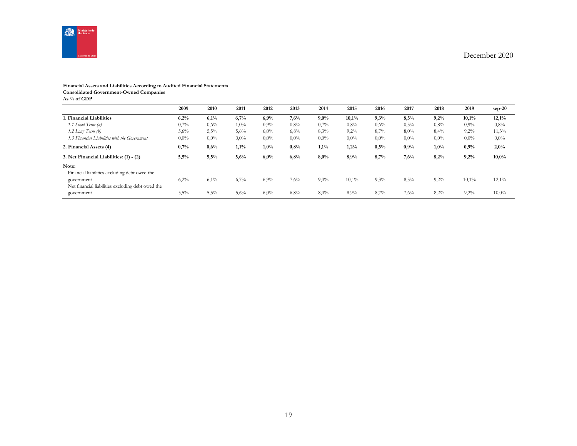

# **Financial Assets and Liabilities According to Audited Financial Statements**

**Consolidated Government-Owned Companies**

**As % of GDP**

|                                                                 | 2009    | 2010    | 2011    | 2012    | 2013    | 2014    | 2015    | 2016    | 2017    | 2018    | 2019    | sep-20   |
|-----------------------------------------------------------------|---------|---------|---------|---------|---------|---------|---------|---------|---------|---------|---------|----------|
| 1. Financial Liabilities                                        | 6,2%    | 6,1%    | 6,7%    | 6,9%    | 7,6%    | $9,0\%$ | 10,1%   | 9,3%    | 8,5%    | 9,2%    | 10,1%   | 12,1%    |
| 1.1 Short Term (a)                                              | 0,7%    | $0.6\%$ | $1,0\%$ | 0,9%    | 0,8%    | 0,7%    | 0.8%    | 0,6%    | 0,5%    | 0,8%    | 0.9%    | 0,8%     |
| 1.2 Long Term (b)                                               | 5,6%    | 5,5%    | 5,6%    | 6,0%    | 6,8%    | 8,3%    | 9,2%    | 8,7%    | 8,0%    | 8,4%    | 9,2%    | 11,3%    |
| 1.3 Financial Liabilities with the Government                   | $0,0\%$ | $0.0\%$ | $0.0\%$ | $0.0\%$ | $0,0\%$ | $0.0\%$ | $0.0\%$ | $0,0\%$ | $0.0\%$ | $0,0\%$ | $0,0\%$ | $0,0\%$  |
| 2. Financial Assets (4)                                         | 0,7%    | 0,6%    | 1,1%    | 1,0%    | 0,8%    | 1,1%    | 1,2%    | 0,5%    | $0.9\%$ | 1,0%    | 0,9%    | 2,0%     |
| 3. Net Financial Liabilities: (1) - (2)                         | 5,5%    | 5,5%    | 5,6%    | 6,0%    | 6,8%    | 8,0%    | 8,9%    | 8,7%    | 7,6%    | 8,2%    | 9,2%    | 10,0%    |
| Note:<br>Financial liabilities excluding debt owed the          |         |         |         |         |         |         |         |         |         |         |         |          |
| government<br>Net financial liabilities excluding debt owed the | 6,2%    | 6,1%    | 6,7%    | 6,9%    | 7,6%    | $9,0\%$ | 10,1%   | 9,3%    | 8,5%    | $9,2\%$ | 10,1%   | $12,1\%$ |
| government                                                      | 5,5%    | 5,5%    | 5,6%    | 6,0%    | 6,8%    | 8,0%    | 8,9%    | 8,7%    | 7,6%    | 8,2%    | 9,2%    | 10,0%    |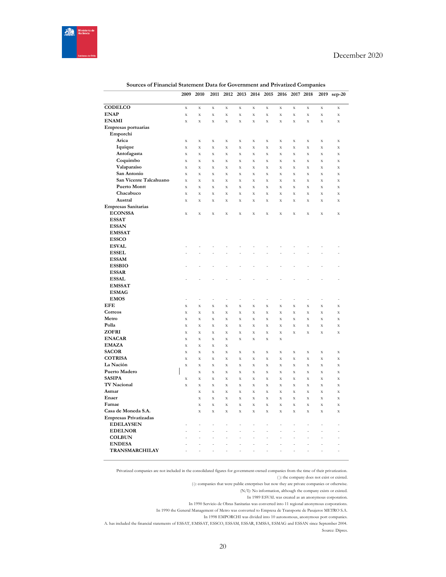

|                               | 2009                       | 2010                   | 2011                              | 2012                     | 2013                                     | 2014                       | 2015                       | 2016                     |                         | 2017 2018                  | 2019                       | $sep-20$                   |
|-------------------------------|----------------------------|------------------------|-----------------------------------|--------------------------|------------------------------------------|----------------------------|----------------------------|--------------------------|-------------------------|----------------------------|----------------------------|----------------------------|
| CODELCO                       |                            |                        |                                   |                          |                                          |                            |                            |                          |                         |                            |                            |                            |
| <b>ENAP</b>                   | $\mathbf X$<br>$\mathbf X$ | $\bar{X}$<br>$\bar{X}$ | $\mathbf X$<br>$\bar{\mathbf{x}}$ | $\bar{X}$<br>$\mathbf X$ | $\bar{\mathbf{X}}$<br>$\bar{\mathbf{X}}$ | $\mathbf X$<br>$\mathbf X$ | $\mathbf X$<br>$\mathbf X$ | $\bar{X}$<br>$\mathbf X$ | X<br>$\bar{\mathbf{X}}$ | $\mathbf X$<br>$\mathbf X$ | $\mathbf X$<br>$\mathbf X$ | $\mathbf X$<br>$\mathbf X$ |
| <b>ENAMI</b>                  | $\mathbf X$                | $\bar{X}$              | $\mathbf X$                       | $\bar{X}$                | $\bar{\mathbf{X}}$                       | $\mathbf X$                | $\mathbf X$                | $\bar{X}$                | $\bar{\mathbf{X}}$      | $\mathbf X$                | $\mathbf X$                | $\mathbf x$                |
| Empresas portuarias           |                            |                        |                                   |                          |                                          |                            |                            |                          |                         |                            |                            |                            |
| Emporchi                      |                            |                        |                                   |                          |                                          |                            |                            |                          |                         |                            |                            |                            |
| Arica                         | $\mathbf X$                | $\mathbf X$            | $\mathbf X$                       | $\mathbf X$              | $\mathbf X$                              | $\mathbf X$                | $\mathbf X$                | X                        | $\mathbf X$             | $\mathbf X$                | $\mathbf X$                | $\mathbf X$                |
| Iquique                       | $\mathbf X$                | $\bar{X}$              | $\bar{\mathbf{x}}$                | $\bar{\mathbf{x}}$       | $\bar{\mathbf{x}}$                       | $\bar{\mathbf{x}}$         | $\mathbf X$                | $\bar{X}$                | $\bar{\mathbf{X}}$      | $\mathbf X$                | $\mathbf X$                | $\mathbf x$                |
| Antofagasta                   | $\mathbf X$                | X                      | $\mathbf X$                       | X                        | $\mathbf X$                              | $\mathbf X$                | $\mathbf X$                | X                        | $\mathbf X$             | $\mathbf X$                | $\mathbf X$                | $\mathbf X$                |
| Coquimbo                      | $\mathbf X$                | $\bar{\mathbf{x}}$     | $\bar{\mathbf{x}}$                | $\bar{\mathbf{x}}$       | $\bar{\mathbf{X}}$                       | $\mathbf X$                | $\mathbf X$                | $\bar{X}$                | $\bar{\mathbf{X}}$      | $\mathbf X$                | $\mathbf X$                | $\mathbf X$                |
| Valaparaíso                   | $\mathbf X$                | $\bar{\mathbf{x}}$     | $\bar{\mathbf{x}}$                | $\bar{x}$                | $\bar{\mathbf{x}}$                       | $\bar{\mathbf{x}}$         | $\bar{\mathbf{x}}$         | X                        | $\mathbf X$             | $\mathbf X$                | $\bar{\mathbf{x}}$         | $\mathbf x$                |
| San Antonio                   | $\mathbf X$                | X                      | $\bar{X}$                         | X                        | $\bar{\mathbf{X}}$                       | X                          | $\mathbf X$                | X                        | $\mathbf X$             | X                          | $\mathbf X$                | $\mathbf X$                |
| San Vicente Talcahuano        | $\bar{\mathbf{X}}$         | $\bar{\mathbf{x}}$     | $\bar{X}$                         | $\bar{\mathbf{x}}$       | $\bar{\mathbf{x}}$                       | $\mathbf X$                | $\mathbf X$                | $\bar{\mathbf{x}}$       | $\bar{\mathbf{x}}$      | $\bar{\mathbf{X}}$         | $\mathbf x$                | $\mathbf X$                |
| <b>Puerto Montt</b>           | $\mathbf X$                | X                      | $\bar{X}$                         | $\bar{X}$                | $\bar{\mathbf{X}}$                       | X                          | $\mathbf X$                | X                        | $\mathbf X$             | $\mathbf X$                | $\mathbf X$                | $\mathbf X$                |
| Chacabuco                     | $\bar{\mathbf{x}}$         | $\bar{\mathbf{x}}$     | $\bar{X}$                         | $\bar{\mathbf{x}}$       | $\bar{\mathbf{x}}$                       | $\bar{\mathbf{X}}$         | $\mathbf X$                | $\bar{\mathbf{x}}$       | $\bar{\mathbf{x}}$      | $\bar{\mathbf{X}}$         | $\mathbf X$                | $\bar{\mathbf{x}}$         |
| Austral                       | $\mathbf X$                | X                      | $\mathbf X$                       | X                        | $\mathbf X$                              | X                          | $\mathbf X$                | X                        | $\mathbf X$             | $\mathbf X$                | $\mathbf X$                | $\mathbf X$                |
| <b>Empresas Sanitarias</b>    |                            |                        |                                   |                          |                                          |                            |                            |                          |                         |                            |                            |                            |
| <b>ECONSSA</b>                | $\mathbf X$                | $\bar{X}$              | $\mathbf X$                       | $\mathbf X$              | $\bar{\mathbf{X}}$                       | $\mathbf X$                | $\mathbf X$                | $\mathbf X$              | $\bar{\mathbf{X}}$      | $\mathbf X$                | $\bar{X}$                  | $\mathbf X$                |
| <b>ESSAT</b>                  |                            |                        |                                   |                          |                                          |                            |                            |                          |                         |                            |                            |                            |
| <b>ESSAN</b>                  |                            |                        |                                   |                          |                                          |                            |                            |                          |                         |                            |                            |                            |
| <b>EMSSAT</b>                 |                            |                        |                                   |                          |                                          |                            |                            |                          |                         |                            |                            |                            |
| <b>ESSCO</b>                  |                            |                        |                                   |                          |                                          |                            |                            |                          |                         |                            |                            |                            |
| <b>ESVAL</b>                  |                            |                        |                                   |                          |                                          |                            |                            |                          |                         |                            |                            |                            |
| <b>ESSEL</b>                  |                            |                        |                                   |                          |                                          |                            |                            |                          |                         |                            |                            |                            |
| <b>ESSAM</b>                  |                            |                        |                                   |                          |                                          |                            |                            |                          |                         |                            |                            |                            |
| <b>ESSBIO</b>                 |                            |                        |                                   |                          |                                          |                            |                            |                          |                         |                            |                            |                            |
| <b>ESSAR</b>                  |                            |                        |                                   |                          |                                          |                            |                            |                          |                         |                            |                            |                            |
| <b>ESSAL</b><br><b>EMSSAT</b> |                            |                        |                                   |                          |                                          |                            |                            |                          |                         |                            |                            | $\overline{\phantom{0}}$   |
| <b>ESMAG</b>                  |                            |                        |                                   |                          |                                          |                            |                            |                          |                         |                            |                            |                            |
| <b>EMOS</b>                   | Ĭ.                         | į,                     | L                                 | l,                       | L,                                       | ÷                          | ÷                          | L,                       | L,                      | L,                         | $\overline{a}$             | ÷,                         |
| EFE                           | $\bar{\mathbf{X}}$         | $\bar{\mathbf{x}}$     | $\bar{\mathbf{x}}$                | $\bar{\mathbf{x}}$       | $\bar{\mathbf{x}}$                       | $\bar{\mathbf{x}}$         | $\bar{X}$                  | $\bar{\mathbf{x}}$       | $\bar{\mathbf{x}}$      | $\bar{\mathbf{x}}$         | $\bar{X}$                  | $\mathbf X$                |
| Correos                       | $\mathbf X$                | X                      | $\mathbf X$                       | X                        | $\mathbf X$                              | X                          | $\mathbf X$                | X                        | $\mathbf X$             | $\mathbf X$                | $\mathbf X$                | $\mathbf X$                |
| Metro                         | $\bar{\mathbf{X}}$         | $\bar{\mathbf{x}}$     | $\bar{\mathbf{x}}$                | $\bar{\mathbf{x}}$       | $\bar{\mathbf{x}}$                       | $\bar{\mathbf{X}}$         | $\mathbf X$                | $\bar{\mathbf{x}}$       | $\bar{\mathbf{x}}$      | $\bar{\mathbf{X}}$         | $\mathbf X$                | $\mathbf X$                |
| Polla                         | $\mathbf X$                | X                      | $\mathbf X$                       | X                        | $\mathbf X$                              | X                          | $\mathbf X$                | X                        | $\mathbf X$             | $\mathbf X$                | $\mathbf X$                | $\mathbf X$                |
| <b>ZOFRI</b>                  | $\mathbf X$                | $\bar{x}$              | $\bar{\mathbf{x}}$                | $\bar{\mathbf{x}}$       | $\bar{\mathbf{x}}$                       | $\bar{\mathbf{x}}$         | $\mathbf X$                | $\bar{\mathbf{x}}$       | $\bar{\mathbf{x}}$      | $\mathbf X$                | $\bar{\mathbf{x}}$         | $\mathbf X$                |
| <b>ENACAR</b>                 | $\mathbf X$                | $\bar{X}$              | $\bar{X}$                         | X                        | $\bar{\mathbf{X}}$                       | $\mathbf X$                | $\mathbf X$                | $\mathbf X$              |                         |                            |                            |                            |
| <b>EMAZA</b>                  | $\mathbf X$                | X                      | $\mathbf X$                       | X                        |                                          |                            |                            |                          |                         |                            |                            |                            |
| <b>SACOR</b>                  | $\mathbf X$                | $\bar{X}$              | $\bar{X}$                         | $\bar{X}$                | $\bar{\mathbf{X}}$                       | $\bar{X}$                  | $\mathbf X$                | $\bar{X}$                | $\bar{\mathbf{X}}$      | $\mathbf X$                | $\mathbf X$                | $\mathbf X$                |
| <b>COTRISA</b>                | $\mathbf X$                | X                      | $\mathbf X$                       | X                        | $\mathbf X$                              | $\mathbf X$                | $\mathbf X$                | X                        | $\mathbf X$             | $\mathbf X$                | $\mathbf X$                | $\mathbf x$                |
| La Nación                     | $\mathbf X$                | $\bar{X}$              | $\bar{X}$                         | $\bar{X}$                | $\bar{\mathbf{X}}$                       | $\mathbf X$                | $\mathbf X$                | $\bar{X}$                | $\bar{\mathbf{X}}$      | $\mathbf X$                | $\mathbf X$                | $\mathbf X$                |
| Puerto Madero                 |                            | $\mathbf X$            | $\mathbf X$                       | $\bar{X}$                | $\bar{\mathbf{X}}$                       | $\mathbf X$                | $\mathbf X$                | X                        | $\bar{\mathbf{X}}$      | $\bf{X}$                   | X                          | $\mathbf x$                |
| <b>SASIPA</b>                 | $\mathbf X$                | X                      | $\mathbf X$                       | X                        | $\mathbf X$                              | X                          | $\mathbf X$                | X                        | $\mathbf X$             | $\mathbf X$                | $\mathbf X$                | $\mathbf X$                |
| <b>TV Nacional</b>            | $\bar{\mathbf{X}}$         | $\bar{\mathbf{x}}$     | $\bar{\mathbf{x}}$                | $\bar{\mathbf{x}}$       | $\bar{\mathbf{x}}$                       | $\bar{\mathbf{X}}$         | $\mathbf X$                | $\bar{X}$                | $\bar{\mathbf{x}}$      | $\mathbf X$                | $\mathbf X$                | $\mathbf X$                |
| Asmar                         |                            | $\mathbf X$            | $\mathbf X$                       | X                        | $\mathbf X$                              | $\mathbf X$                | $\mathbf X$                | X                        | $\mathbf X$             | $\mathbf X$                | $\mathbf X$                | $\mathbf X$                |
| Enaer                         |                            | $\bar{X}$              | $\mathbf X$                       | $\bar{\mathbf{x}}$       | $\bar{\mathbf{x}}$                       | $\bar{X}$                  | $\mathbf X$                | $\bar{X}$                | $\bar{\mathbf{X}}$      | $\mathbf X$                | $\mathbf X$                | $\mathbf X$                |
| Famae                         |                            | X                      | $\mathbf X$                       | X                        | $\mathbf X$                              | $\mathbf X$                | $\mathbf X$                | X                        | $\mathbf X$             | $\mathbf X$                | $\mathbf X$                | $\mathbf X$                |
| Casa de Moneda S.A.           |                            | $\bar{\mathbf{X}}$     | $\bar{\mathbf{X}}$                | $\bar{\mathbf{X}}$       | $\mathbf X$                              | $\mathbf X$                | $\mathbf X$                | $\mathbf X$              | $\bar{\mathbf{X}}$      | $\mathbf X$                | $\mathbf X$                | $\mathbf X$                |
| Empresas Privatizadas         |                            |                        |                                   |                          |                                          |                            |                            |                          |                         |                            |                            |                            |
| <b>EDELAYSEN</b>              |                            | $\overline{a}$         | i,                                | l,                       | L,                                       | ÷                          | ÷                          | L                        | L,                      | L,                         | $\overline{a}$             | ÷                          |
| <b>EDELNOR</b>                |                            | L                      | L                                 | L,                       | $\overline{a}$                           | $\overline{a}$             | L,                         | L,                       | L,                      | l,                         | Î,                         |                            |
| <b>COLBUN</b>                 | Ē,                         | $\overline{a}$         | L                                 | L,                       | $\overline{a}$                           | $\overline{a}$             | ÷,                         | Ĭ.                       | ÷,                      | Ĭ.                         | $\overline{a}$             | ÷,                         |
| <b>ENDESA</b>                 |                            | $\overline{a}$         | i,                                | ÷,                       | $\overline{a}$                           | ÷,                         | l,                         | ÷,                       | ÷,                      | ÷,                         | L,                         | -                          |
| TRANSMARCHILAY                | $\overline{a}$             | $\overline{a}$         | L                                 | Ĭ.                       | $\overline{a}$                           | $\overline{a}$             | ÷,                         | Ĭ.                       | ÷,                      | L,                         | $\overline{a}$             | ÷,                         |

**Sources of Financial Statement Data for Government and Privatized Companies**

Privatized companies are not included in the consolidated figures for government-owned companies from the time of their privatization. ( ): the company does not exist or existed.

(-): companies that were public enterprises but now they are private companies or otherwise.

(N/I): No information, although the company exists or existed.

In 1989 ESVAL was created as an anonymous corporation.

In 1990 Servicio de Obras Sanitarias was converted into 11 regional anonymous corporations.

In 1990 the General Management of Metro was converted to Empresa de Transporte de Pasajeros METRO S.A.

In 1998 EMPORCHI was divided into 10 autonomous, anonymous port companies.

ESSAN S. A. has included the financial statements of ESSAT, EMSSAT, ESSCO, ESSAM, ESSAR, EMSSA, ESMAG and ESSAN since September 2004. Source: Dipres.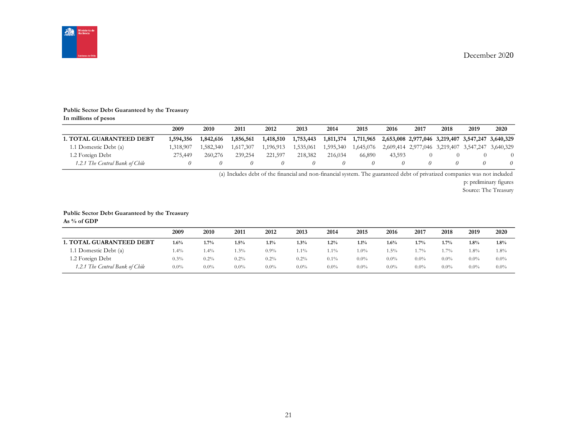

#### **Public Sector Debt Guaranteed by the Treasury In millions of pesos**

|                                 | 2009      | <b>2010</b> | 2011      | 2012      | 2013      | 2014      | 2015                                                        | 2016   | 2017 | 2018 | 2019 | 2020                                              |
|---------------------------------|-----------|-------------|-----------|-----------|-----------|-----------|-------------------------------------------------------------|--------|------|------|------|---------------------------------------------------|
| <b>1. TOTAL GUARANTEED DEBT</b> | 1,594,356 | 1,842,616   | 1,856,561 | 1,418,510 | 1,753,443 | 1,811,374 | 1,711,965 2,653,008 2,977,046 3,219,407 3,547,247 3,640,329 |        |      |      |      |                                                   |
| 1.1 Domestic Debt (a)           | 1.318.907 | 1.582.340   | 1.617.307 | 1.196.913 | 1,535,061 | 1,595,340 | 1.645.076                                                   |        |      |      |      | 2,609,414 2,977,046 3,219,407 3,547,247 3,640,329 |
| 1.2 Foreign Debt                | 275,449   | 260,276     | 239,254   | 221,597   | 218,382   | 216,034   | 66,890                                                      | 43.593 |      |      |      |                                                   |
| 1.2.1 The Central Bank of Chile |           |             |           |           |           |           |                                                             |        |      |      |      |                                                   |

(a) Includes debt of the financial and non-financial system. The guaranteed debt of privatized companies was not included

p: preliminary figures

Source: The Treasury

#### **Public Sector Debt Guaranteed by the Treasury**

**As % of GDP**

|                                 | 2009    | 2010    | 2011    | 2012    | 2013    | 2014    | 2015    | 2016    | 2017    | 2018    | 2019    | 2020    |
|---------------------------------|---------|---------|---------|---------|---------|---------|---------|---------|---------|---------|---------|---------|
| <b>1. TOTAL GUARANTEED DEBT</b> | $1.6\%$ | 1.7%    | $1.5\%$ | 1.1%    | $1.3\%$ | 1.2%    | $1.1\%$ | 1.6%    | 1.7%    | $1.7\%$ | $1.8\%$ | 1.8%    |
| 1.1 Domestic Debt (a)           | 1.4%    | $.4\%$  | 1.3%    | 0.9%    | $1.1\%$ | $1.1\%$ | $1.0\%$ | $1.5\%$ | . . 7%  | $1.7\%$ | $1.8\%$ | 1.8%    |
| 1.2 Foreign Debt                | 0.3%    | $0.2\%$ | $0.2\%$ | 0.2%    | $0.2\%$ | $0.1\%$ | $0.0\%$ | $0.0\%$ | $0.0\%$ | $0.0\%$ | $0.0\%$ | $0.0\%$ |
| 1.2.1 The Central Bank of Chile | $0.0\%$ | $0.0\%$ | $0.0\%$ | $0.0\%$ | $0.0\%$ | $0.0\%$ | $0.0\%$ | $0.0\%$ | $0.0\%$ | $0.0\%$ | $0.0\%$ | $0.0\%$ |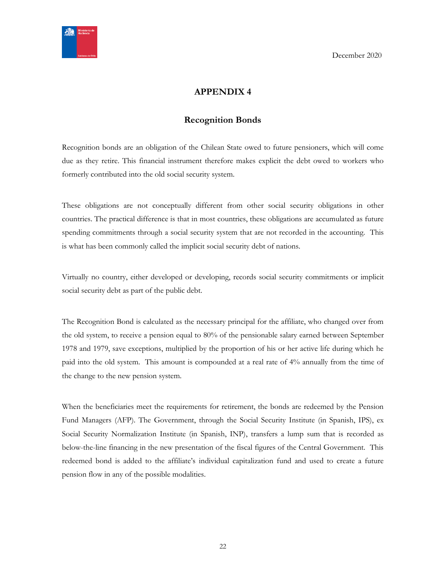<span id="page-21-0"></span>

# <span id="page-21-1"></span>**APPENDIX 4**

# **Recognition Bonds**

Recognition bonds are an obligation of the Chilean State owed to future pensioners, which will come due as they retire. This financial instrument therefore makes explicit the debt owed to workers who formerly contributed into the old social security system.

These obligations are not conceptually different from other social security obligations in other countries. The practical difference is that in most countries, these obligations are accumulated as future spending commitments through a social security system that are not recorded in the accounting. This is what has been commonly called the implicit social security debt of nations.

Virtually no country, either developed or developing, records social security commitments or implicit social security debt as part of the public debt.

The Recognition Bond is calculated as the necessary principal for the affiliate, who changed over from the old system, to receive a pension equal to 80% of the pensionable salary earned between September 1978 and 1979, save exceptions, multiplied by the proportion of his or her active life during which he paid into the old system. This amount is compounded at a real rate of 4% annually from the time of the change to the new pension system.

When the beneficiaries meet the requirements for retirement, the bonds are redeemed by the Pension Fund Managers (AFP). The Government, through the Social Security Institute (in Spanish, IPS), ex Social Security Normalization Institute (in Spanish, INP), transfers a lump sum that is recorded as below-the-line financing in the new presentation of the fiscal figures of the Central Government. This redeemed bond is added to the affiliate's individual capitalization fund and used to create a future pension flow in any of the possible modalities.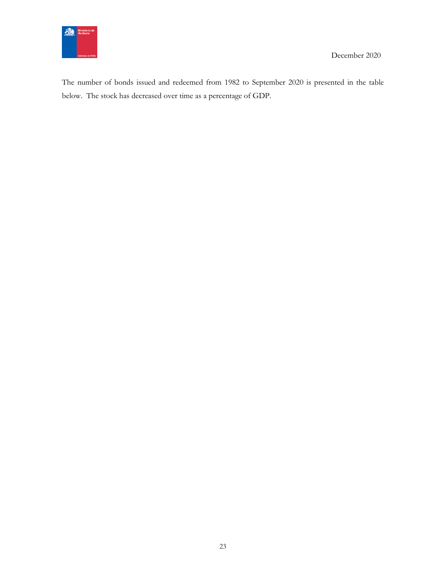

The number of bonds issued and redeemed from 1982 to September 2020 is presented in the table below. The stock has decreased over time as a percentage of GDP.